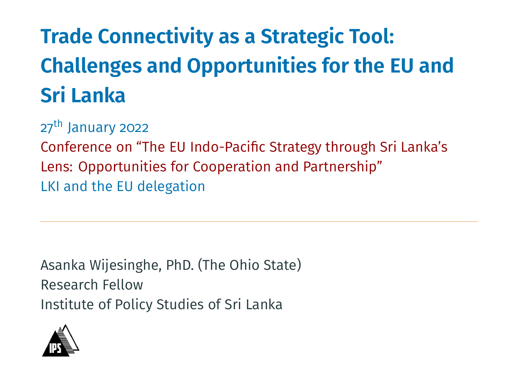# **Trade Connectivity as a Strategic Tool: Challenges and Opportunities for the EU and Sri Lanka**

27<sup>th</sup> January 2022

Conference on "The EU Indo-Pacific Strategy through Sri Lanka's Lens: Opportunities for Cooperation and Partnership" LKI and the EU delegation

Asanka Wijesinghe, PhD. (The Ohio State) Research Fellow Institute of Policy Studies of Sri Lanka

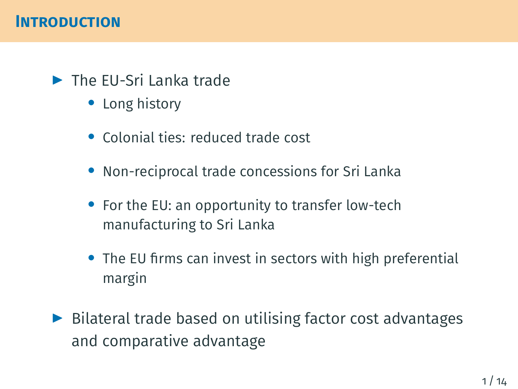## ▶ The EU-Sri Lanka trade

- *•* Long history
- *•* Colonial ties: reduced trade cost
- *•* Non-reciprocal trade concessions for Sri Lanka
- *•* For the EU: an opportunity to transfer low-tech manufacturing to Sri Lanka
- *•* The EU firms can invest in sectors with high preferential margin
- ▶ Bilateral trade based on utilising factor cost advantages and comparative advantage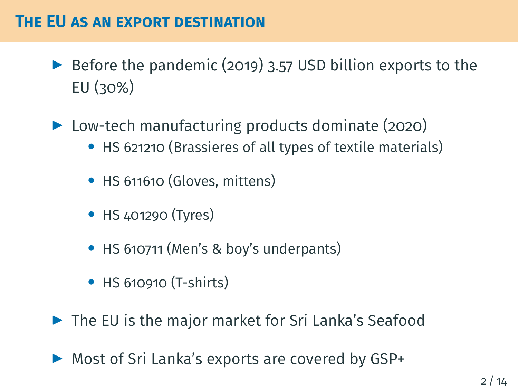#### **THE EU AS AN EXPORT DESTINATION**

- $\triangleright$  Before the pandemic (2019) 3.57 USD billion exports to the EU (30%)
- ▶ Low-tech manufacturing products dominate (2020) *•* HS 621210 (Brassieres of all types of textile materials)
	- *•* HS 611610 (Gloves, mittens)
	- *•* HS 401290 (Tyres)
	- *•* HS 610711 (Men's & boy's underpants)
	- *•* HS 610910 (T-shirts)
- ▶ The EU is the major market for Sri Lanka's Seafood
- ▶ Most of Sri Lanka's exports are covered by GSP+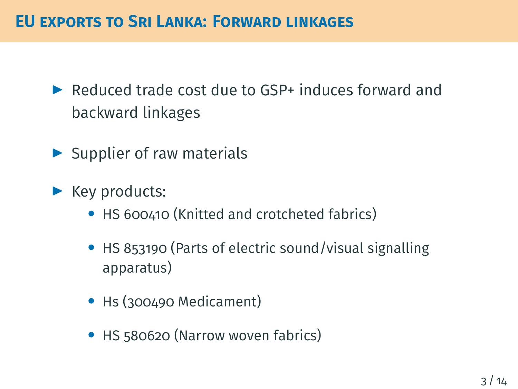## **EU EXPORTS TO SRI LANKA: FORWARD LINKAGES**

- ▶ Reduced trade cost due to GSP+ induces forward and backward linkages
- $\blacktriangleright$  Supplier of raw materials
- ▶ Key products:
	- HS 600410 (Knitted and crotcheted fabrics)
	- *•* HS 853190 (Parts of electric sound/visual signalling apparatus)
	- *•* Hs (300490 Medicament)
	- *•* HS 580620 (Narrow woven fabrics)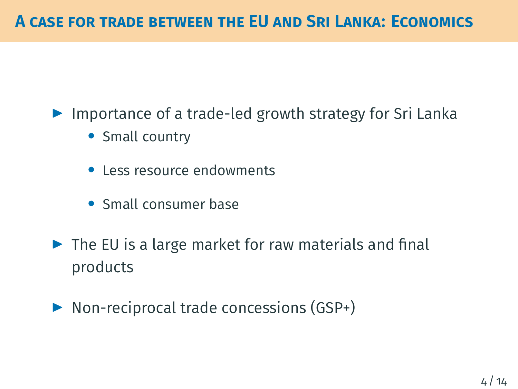▶ Importance of a trade-led growth strategy for Sri Lanka

- *•* Small country
- *•* Less resource endowments
- *•* Small consumer base
- $\blacktriangleright$  The EU is a large market for raw materials and final products
- ▶ Non-reciprocal trade concessions (GSP+)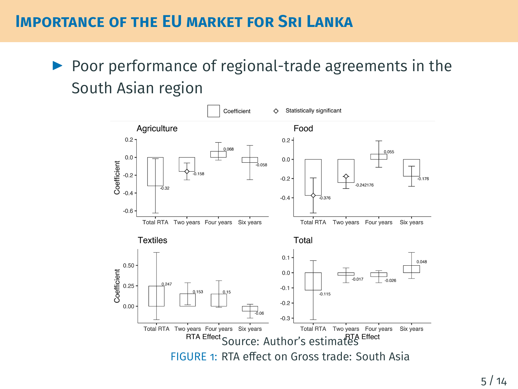#### **IMPORTANCE OF THE EU MARKET FOR SRI LANKA**

▶ Poor performance of regional-trade agreements in the South Asian region

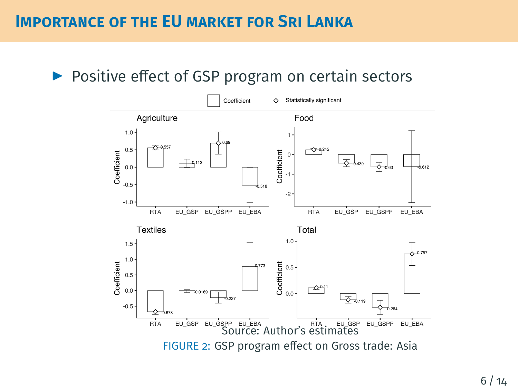#### ▶ Positive effect of GSP program on certain sectors

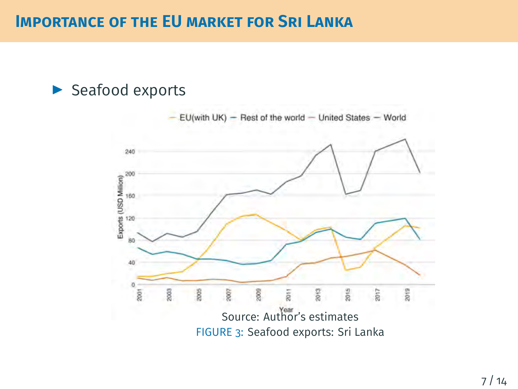#### **IMPORTANCE OF THE EU MARKET FOR SRI LANKA**

#### ▶ Seafood exports

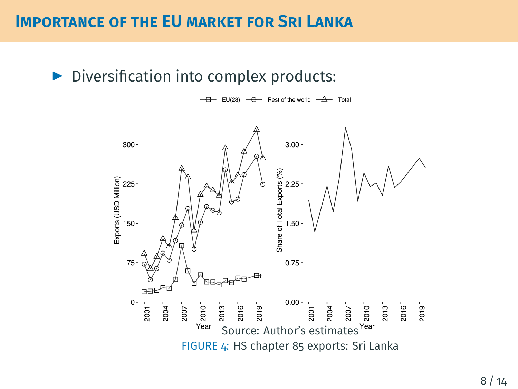#### **IMPORTANCE OF THE EU MARKET FOR SRI LANKA**

#### ▶ Diversification into complex products:



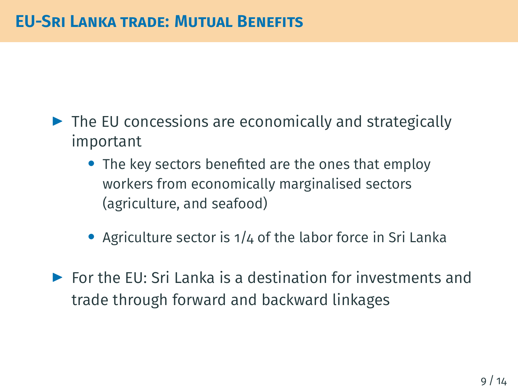- ▶ The EU concessions are economically and strategically important
	- *•* The key sectors benefited are the ones that employ workers from economically marginalised sectors (agriculture, and seafood)
	- *•* Agriculture sector is 1/4 of the labor force in Sri Lanka
- $\triangleright$  For the EU: Sri Lanka is a destination for investments and trade through forward and backward linkages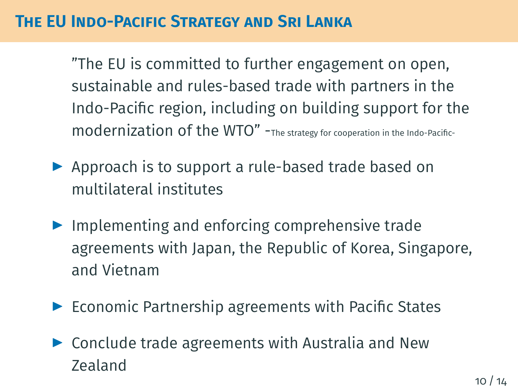## **THE EU INDO-PACIFIC STRATEGY AND SRI LANKA**

"The EU is committed to further engagement on open, sustainable and rules-based trade with partners in the Indo-Pacific region, including on building support for the modernization of the WTO" -The strategy for cooperation in the Indo-Pacific-

- ▶ Approach is to support a rule-based trade based on multilateral institutes
- ▶ Implementing and enforcing comprehensive trade agreements with Japan, the Republic of Korea, Singapore, and Vietnam
- ▶ Economic Partnership agreements with Pacific States
- ▶ Conclude trade agreements with Australia and New Zealand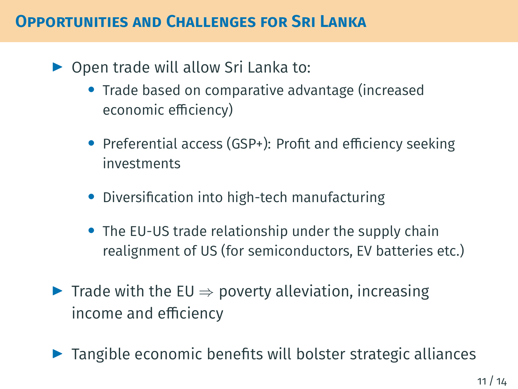## **OPPORTUNITIES AND CHALLENGES FOR SRI LANKA**

- ▶ Open trade will allow Sri Lanka to:
	- *•* Trade based on comparative advantage (increased economic efficiency)
	- *•* Preferential access (GSP+): Profit and efficiency seeking investments
	- *•* Diversification into high-tech manufacturing
	- *•* The EU-US trade relationship under the supply chain realignment of US (for semiconductors, EV batteries etc.)
- ▶ Trade with the EU *⇒* poverty alleviation, increasing income and efficiency
- ▶ Tangible economic benefits will bolster strategic alliances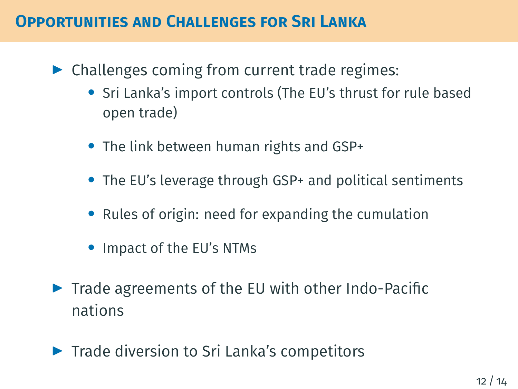#### **OPPORTUNITIES AND CHALLENGES FOR SRI LANKA**

- ▶ Challenges coming from current trade regimes:
	- *•* Sri Lanka's import controls (The EU's thrust for rule based open trade)
	- *•* The link between human rights and GSP+
	- *•* The EU's leverage through GSP+ and political sentiments
	- *•* Rules of origin: need for expanding the cumulation
	- *•* Impact of the EU's NTMs
- ▶ Trade agreements of the EU with other Indo-Pacific nations
- ▶ Trade diversion to Sri Lanka's competitors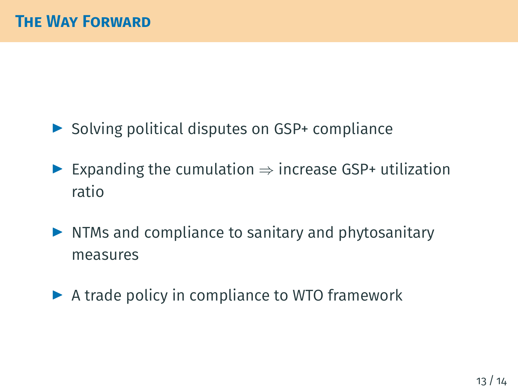- ▶ Solving political disputes on GSP+ compliance
- ▶ Expanding the cumulation *⇒* increase GSP+ utilization ratio
- ▶ NTMs and compliance to sanitary and phytosanitary measures
- ▶ A trade policy in compliance to WTO framework